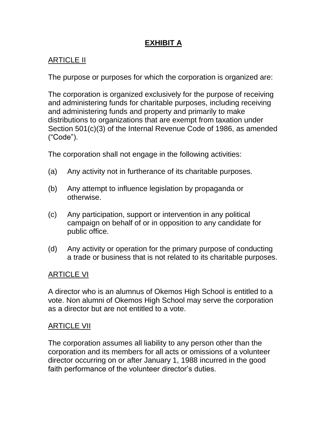# **EXHIBIT A**

# ARTICLE II

The purpose or purposes for which the corporation is organized are:

The corporation is organized exclusively for the purpose of receiving and administering funds for charitable purposes, including receiving and administering funds and property and primarily to make distributions to organizations that are exempt from taxation under Section 501(c)(3) of the Internal Revenue Code of 1986, as amended ("Code").

The corporation shall not engage in the following activities:

- (a) Any activity not in furtherance of its charitable purposes.
- (b) Any attempt to influence legislation by propaganda or otherwise.
- (c) Any participation, support or intervention in any political campaign on behalf of or in opposition to any candidate for public office.
- (d) Any activity or operation for the primary purpose of conducting a trade or business that is not related to its charitable purposes.

# ARTICLE VI

A director who is an alumnus of Okemos High School is entitled to a vote. Non alumni of Okemos High School may serve the corporation as a director but are not entitled to a vote.

# ARTICLE VII

The corporation assumes all liability to any person other than the corporation and its members for all acts or omissions of a volunteer director occurring on or after January 1, 1988 incurred in the good faith performance of the volunteer director's duties.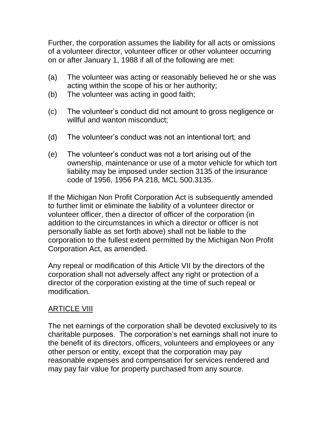Further, the corporation assumes the liability for all acts or omissions of a volunteer director, volunteer officer or other volunteer occurring on or after January 1, 1988 if all of the following are met:

- (a) The volunteer was acting or reasonably believed he or she was acting within the scope of his or her authority;
- (b) The volunteer was acting in good faith;
- (c) The volunteer's conduct did not amount to gross negligence or willful and wanton misconduct;
- (d) The volunteer's conduct was not an intentional tort; and
- (e) The volunteer's conduct was not a tort arising out of the ownership, maintenance or use of a motor vehicle for which tort liability may be imposed under section 3135 of the insurance code of 1956, 1956 PA 218, MCL 500.3135.

If the Michigan Non Profit Corporation Act is subsequently amended to further limit or eliminate the liability of a volunteer director or volunteer officer, then a director of officer of the corporation (in addition to the circumstances in which a director or officer is not personally liable as set forth above) shall not be liable to the corporation to the fullest extent permitted by the Michigan Non Profit Corporation Act, as amended.

Any repeal or modification of this Article VII by the directors of the corporation shall not adversely affect any right or protection of a director of the corporation existing at the time of such repeal or modification.

#### ARTICLE VIII

The net earnings of the corporation shall be devoted exclusively to its charitable purposes. The corporation's net earnings shall not inure to the benefit of its directors, officers, volunteers and employees or any other person or entity, except that the corporation may pay reasonable expenses and compensation for services rendered and may pay fair value for property purchased from any source.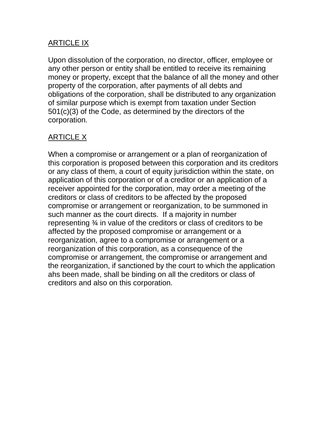### ARTICLE IX

Upon dissolution of the corporation, no director, officer, employee or any other person or entity shall be entitled to receive its remaining money or property, except that the balance of all the money and other property of the corporation, after payments of all debts and obligations of the corporation, shall be distributed to any organization of similar purpose which is exempt from taxation under Section 501(c)(3) of the Code, as determined by the directors of the corporation.

# <u>ARTICLE X</u>

When a compromise or arrangement or a plan of reorganization of this corporation is proposed between this corporation and its creditors or any class of them, a court of equity jurisdiction within the state, on application of this corporation or of a creditor or an application of a receiver appointed for the corporation, may order a meeting of the creditors or class of creditors to be affected by the proposed compromise or arrangement or reorganization, to be summoned in such manner as the court directs. If a majority in number representing ¾ in value of the creditors or class of creditors to be affected by the proposed compromise or arrangement or a reorganization, agree to a compromise or arrangement or a reorganization of this corporation, as a consequence of the compromise or arrangement, the compromise or arrangement and the reorganization, if sanctioned by the court to which the application ahs been made, shall be binding on all the creditors or class of creditors and also on this corporation.